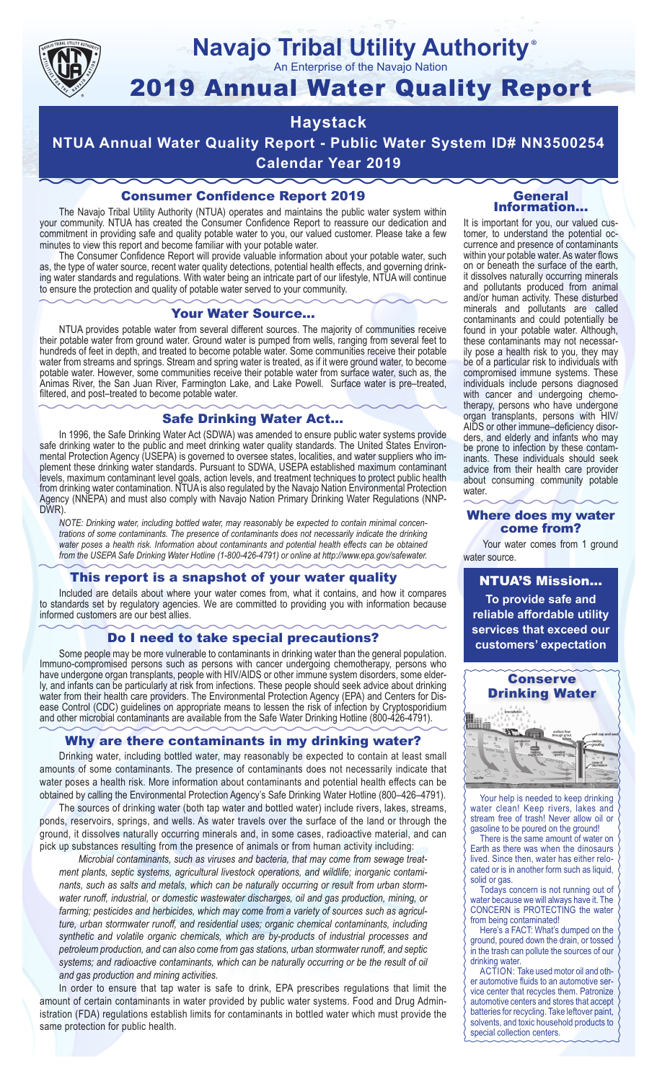

## **Navajo Tribal Utility Authority** ®

An Enterprise of the Navajo Nation

# 2019 Annual Water Quality Report

# **Haystack**

**NTUA Annual Water Quality Report - Public Water System ID# NN3500254 Calendar Year 2019**

## Consumer Confidence Report 2019

The Navajo Tribal Utility Authority (NTUA) operates and maintains the public water system within your community. NTUA has created the Consumer Confidence Report to reassure our dedication and commitment in providing safe and quality potable water to you, our valued customer. Please take a few minutes to view this report and become familiar with your potable water.

The Consumer Confidence Report will provide valuable information about your potable water, such as, the type of water source, recent water quality detections, potential health effects, and governing drinking water standards and regulations. With water being an intricate part of our lifestyle, NTUA will continue to ensure the protection and quality of potable water served to your community.

#### Your Water Source…

NTUA provides potable water from several different sources. The majority of communities receive their potable water from ground water. Ground water is pumped from wells, ranging from several feet to hundreds of feet in depth, and treated to become potable water. Some communities receive their potable water from streams and springs. Stream and spring water is treated, as if it were ground water, to become potable water. However, some communities receive their potable water from surface water, such as, the Animas River, the San Juan River, Farmington Lake, and Lake Powell. Surface water is pre–treated, filtered, and post–treated to become potable water.

### Safe Drinking Water Act…

In 1996, the Safe Drinking Water Act (SDWA) was amended to ensure public water systems provide safe drinking water to the public and meet drinking water quality standards. The United States Environmental Protection Agency (USEPA) is governed to oversee states, localities, and water suppliers who implement these drinking water standards. Pursuant to SDWA, USEPA established maximum contaminant levels, maximum contaminant level goals, action levels, and treatment techniques to protect public health from drinking water contamination. NTUA is also regulated by the Navajo Nation Environmental Protection Agency (NNEPA) and must also comply with Navajo Nation Primary Drinking Water Regulations (NNP-DWR)

*NOTE: Drinking water, including bottled water, may reasonably be expected to contain minimal concentrations of some contaminants. The presence of contaminants does not necessarily indicate the drinking water poses a health risk. Information about contaminants and potential health effects can be obtained from the USEPA Safe Drinking Water Hotline (1-800-426-4791) or online at http://www.epa.gov/safewater.*

### This report is a snapshot of your water quality

Included are details about where your water comes from, what it contains, and how it compares to standards set by regulatory agencies. We are committed to providing you with information because informed customers are our best allies.

### Do I need to take special precautions?

Some people may be more vulnerable to contaminants in drinking water than the general population. Immuno-compromised persons such as persons with cancer undergoing chemotherapy, persons who have undergone organ transplants, people with HIV/AIDS or other immune system disorders, some elderly, and infants can be particularly at risk from infections. These people should seek advice about drinking water from their health care providers. The Environmental Protection Agency (EPA) and Centers for Disease Control (CDC) guidelines on appropriate means to lessen the risk of infection by Cryptosporidium and other microbial contaminants are available from the Safe Water Drinking Hotline (800-426-4791).

### Why are there contaminants in my drinking water?

Drinking water, including bottled water, may reasonably be expected to contain at least small amounts of some contaminants. The presence of contaminants does not necessarily indicate that water poses a health risk. More information about contaminants and potential health effects can be obtained by calling the Environmental Protection Agency's Safe Drinking Water Hotline (800–426–4791).

The sources of drinking water (both tap water and bottled water) include rivers, lakes, streams, ponds, reservoirs, springs, and wells. As water travels over the surface of the land or through the ground, it dissolves naturally occurring minerals and, in some cases, radioactive material, and can pick up substances resulting from the presence of animals or from human activity including:

*Microbial contaminants, such as viruses and bacteria, that may come from sewage treatment plants, septic systems, agricultural livestock operations, and wildlife; inorganic contaminants, such as salts and metals, which can be naturally occurring or result from urban stormwater runoff, industrial, or domestic wastewater discharges, oil and gas production, mining, or farming; pesticides and herbicides, which may come from a variety of sources such as agriculture, urban stormwater runoff, and residential uses; organic chemical contaminants, including synthetic and volatile organic chemicals, which are by-products of industrial processes and petroleum production, and can also come from gas stations, urban stormwater runoff, and septic systems; and radioactive contaminants, which can be naturally occurring or be the result of oil and gas production and mining activities.*

In order to ensure that tap water is safe to drink, EPA prescribes regulations that limit the amount of certain contaminants in water provided by public water systems. Food and Drug Administration (FDA) regulations establish limits for contaminants in bottled water which must provide the same protection for public health.

#### General Information…

It is important for you, our valued customer, to understand the potential occurrence and presence of contaminants within your potable water. As water flows on or beneath the surface of the earth, it dissolves naturally occurring minerals and pollutants produced from animal and/or human activity. These disturbed minerals and pollutants are called contaminants and could potentially be found in your potable water. Although, these contaminants may not necessarily pose a health risk to you, they may be of a particular risk to individuals with compromised immune systems. These individuals include persons diagnosed with cancer and undergoing chemo-<br>therapy, persons who have undergone organ transplants, persons with HIV/ AIDS or other immune–deficiency disor- ders, and elderly and infants who may be prone to infection by these contam- inants. These individuals should seek advice from their health care provider about consuming community potable water.

#### Where does my water come from?

Your water comes from 1 ground water source.

NTUA'S Mission... **To provide safe and reliable affordable utility services that exceed our customers' expectation**



Your help is needed to keep drinking water clean! Keep rivers, lakes and stream free of trash! Never allow oil or gasoline to be poured on the ground!

There is the same amount of water on Earth as there was when the dinosaurs lived. Since then, water has either relocated or is in another form such as liquid, solid or gas.

Todays concern is not running out of water because we will always have it. The CONCERN is PROTECTING the water from being contaminated!

Here's a FACT: What's dumped on the ground, poured down the drain, or tossed in the trash can pollute the sources of our drinking water.

ACTION: Take used motor oil and other automotive fluids to an automotive service center that recycles them. Patronize automotive centers and stores that accept batteries for recycling. Take leftover paint, solvents, and toxic household products to special collection centers.